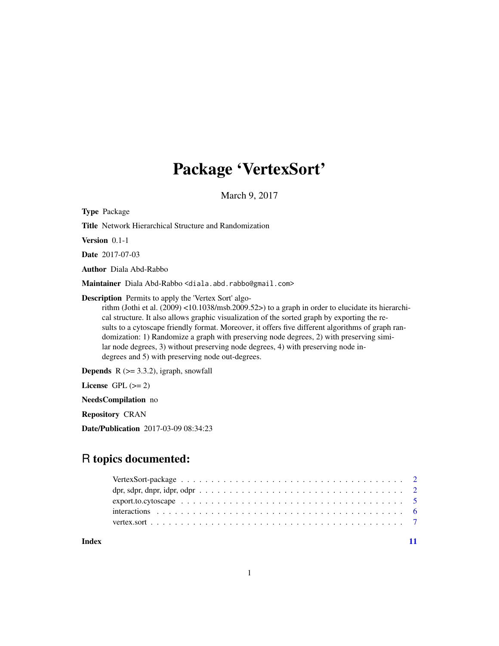## Package 'VertexSort'

March 9, 2017

<span id="page-0-0"></span>Type Package

Title Network Hierarchical Structure and Randomization

Version 0.1-1

Date 2017-07-03

Author Diala Abd-Rabbo

Maintainer Diala Abd-Rabbo <diala.abd.rabbo@gmail.com>

Description Permits to apply the 'Vertex Sort' algo-

rithm (Jothi et al. (2009) <10.1038/msb.2009.52>) to a graph in order to elucidate its hierarchical structure. It also allows graphic visualization of the sorted graph by exporting the results to a cytoscape friendly format. Moreover, it offers five different algorithms of graph randomization: 1) Randomize a graph with preserving node degrees, 2) with preserving similar node degrees, 3) without preserving node degrees, 4) with preserving node indegrees and 5) with preserving node out-degrees.

**Depends**  $R$  ( $>= 3.3.2$ ), igraph, snowfall

License GPL  $(>= 2)$ 

NeedsCompilation no

Repository CRAN

Date/Publication 2017-03-09 08:34:23

## R topics documented:

|       | dpr, sdpr, dnpr, idpr, odpr $\ldots \ldots \ldots \ldots \ldots \ldots \ldots \ldots \ldots \ldots \ldots \ldots 2$ |  |
|-------|---------------------------------------------------------------------------------------------------------------------|--|
|       |                                                                                                                     |  |
|       |                                                                                                                     |  |
|       |                                                                                                                     |  |
| Index |                                                                                                                     |  |

1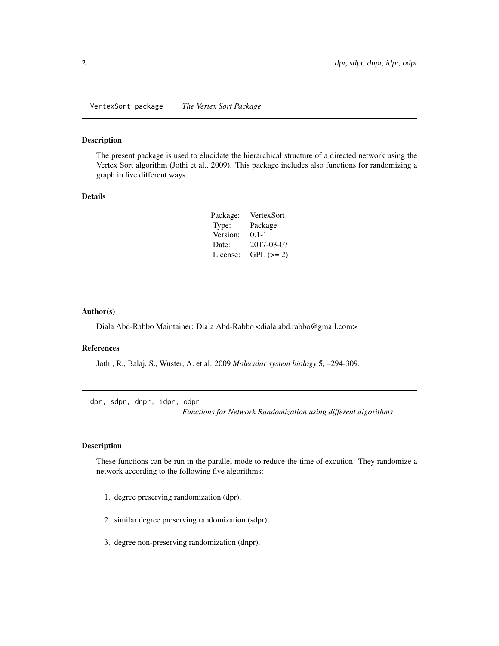<span id="page-1-0"></span>VertexSort-package *The Vertex Sort Package*

## Description

The present package is used to elucidate the hierarchical structure of a directed network using the Vertex Sort algorithm (Jothi et al., 2009). This package includes also functions for randomizing a graph in five different ways.

## Details

| Package: | VertexSort  |
|----------|-------------|
| Type:    | Package     |
| Version: | $0.1 - 1$   |
| Date:    | 2017-03-07  |
| License: | $GPL (= 2)$ |

## Author(s)

Diala Abd-Rabbo Maintainer: Diala Abd-Rabbo <diala.abd.rabbo@gmail.com>

## References

Jothi, R., Balaj, S., Wuster, A. et al. 2009 *Molecular system biology* 5, –294-309.

dpr, sdpr, dnpr, idpr, odpr

*Functions for Network Randomization using different algorithms*

## Description

These functions can be run in the parallel mode to reduce the time of excution. They randomize a network according to the following five algorithms:

- 1. degree preserving randomization (dpr).
- 2. similar degree preserving randomization (sdpr).
- 3. degree non-preserving randomization (dnpr).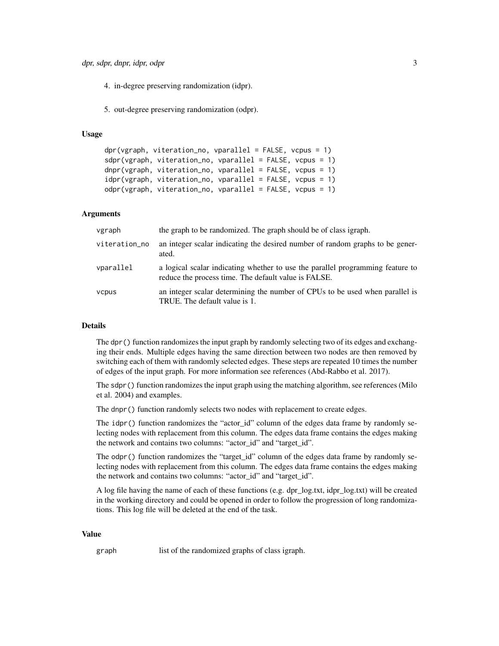4. in-degree preserving randomization (idpr).

5. out-degree preserving randomization (odpr).

## Usage

```
dpr(vgraph, viteration.no, vparallel = FALSE, vcpus = 1)sdpr(vgraph, viteration_no, vparallel = FALSE, vcpus = 1)
dnpr(vgraph, viteration_no, vparallel = FALSE, vcpus = 1)
idpr(vgraph, viteration_no, vparallel = FALSE, vcpus = 1)
odpr(vgraph, viteration_no, vparallel = FALSE, vcpus = 1)
```
## Arguments

| vgraph        | the graph to be randomized. The graph should be of class igraph.                                                                       |
|---------------|----------------------------------------------------------------------------------------------------------------------------------------|
| viteration_no | an integer scalar indicating the desired number of random graphs to be gener-<br>ated.                                                 |
| vparallel     | a logical scalar indicating whether to use the parallel programming feature to<br>reduce the process time. The default value is FALSE. |
| vcpus         | an integer scalar determining the number of CPUs to be used when parallel is<br>TRUE. The default value is 1.                          |

## Details

The dpr() function randomizes the input graph by randomly selecting two of its edges and exchanging their ends. Multiple edges having the same direction between two nodes are then removed by switching each of them with randomly selected edges. These steps are repeated 10 times the number of edges of the input graph. For more information see references (Abd-Rabbo et al. 2017).

The sdpr() function randomizes the input graph using the matching algorithm, see references (Milo et al. 2004) and examples.

The dnpr() function randomly selects two nodes with replacement to create edges.

The idpr() function randomizes the "actor id" column of the edges data frame by randomly selecting nodes with replacement from this column. The edges data frame contains the edges making the network and contains two columns: "actor\_id" and "target\_id".

The odpr() function randomizes the "target\_id" column of the edges data frame by randomly selecting nodes with replacement from this column. The edges data frame contains the edges making the network and contains two columns: "actor id" and "target id".

A log file having the name of each of these functions (e.g. dpr\_log.txt, idpr\_log.txt) will be created in the working directory and could be opened in order to follow the progression of long randomizations. This log file will be deleted at the end of the task.

## Value

graph list of the randomized graphs of class igraph.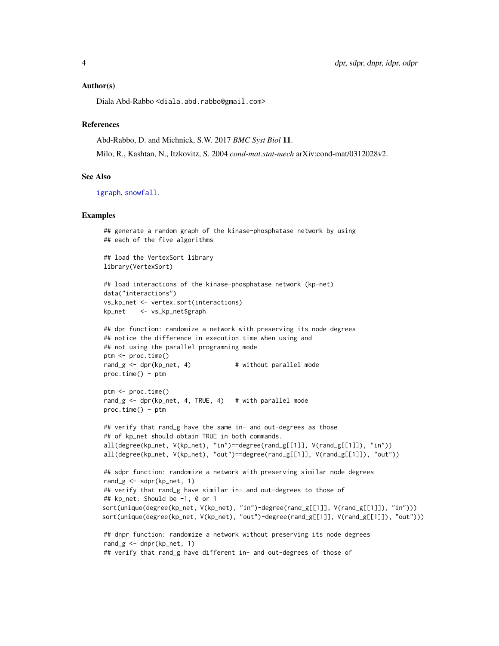#### <span id="page-3-0"></span>Author(s)

Diala Abd-Rabbo <diala.abd.rabbo@gmail.com>

## References

Abd-Rabbo, D. and Michnick, S.W. 2017 *BMC Syst Biol* 11.

Milo, R., Kashtan, N., Itzkovitz, S. 2004 *cond-mat.stat-mech* arXiv:cond-mat/0312028v2.

## See Also

[igraph](#page-0-0), [snowfall](#page-0-0).

## Examples

```
## generate a random graph of the kinase-phosphatase network by using
## each of the five algorithms
## load the VertexSort library
library(VertexSort)
## load interactions of the kinase-phosphatase network (kp-net)
data("interactions")
vs_kp_net <- vertex.sort(interactions)
kp_net <- vs_kp_net$graph
## dpr function: randomize a network with preserving its node degrees
## notice the difference in execution time when using and
## not using the parallel programning mode
ptm <- proc.time()
rand_g \leq dpr(kp_net, 4) # without parallel mode
proc.time() - ptmptm <- proc.time()
rand_g <- dpr(kp_net, 4, TRUE, 4) # with parallel mode
proc.time() - ptm
## verify that rand_g have the same in- and out-degrees as those
## of kp_net should obtain TRUE in both commands.
all(degree(kp_net, V(kp_net), "in")==degree(rand_g[[1]], V(rand_g[[1]]), "in"))
all(degree(kp_net, V(kp_net), "out")==degree(rand_g[[1]], V(rand_g[[1]]), "out"))
## sdpr function: randomize a network with preserving similar node degrees
rand_g \leq sdpr(kp_net, 1)
## verify that rand_g have similar in- and out-degrees to those of
## kp_net. Should be -1, 0 or 1
sort(unique(degree(kp_net, V(kp_net), "in")-degree(rand_g[[1]], V(rand_g[[1]]), "in")))
sort(unique(degree(kp_net, V(kp_net), "out")-degree(rand_g[[1]], V(rand_g[[1]]), "out")))
## dnpr function: randomize a network without preserving its node degrees
rand_g \leq dnpr(kp_net, 1)
## verify that rand_g have different in- and out-degrees of those of
```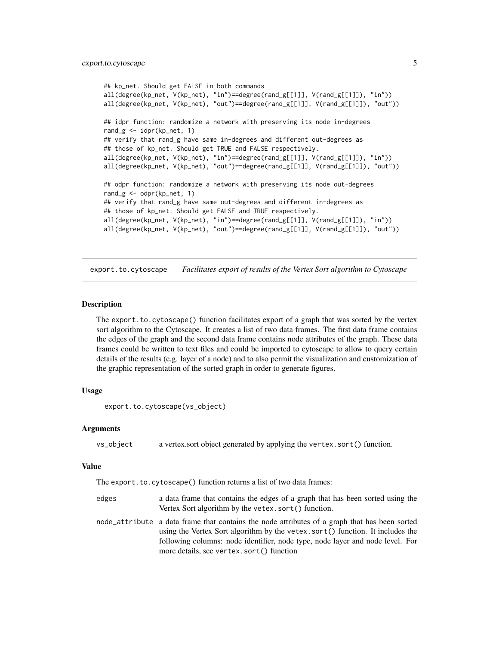```
## kp_net. Should get FALSE in both commands
all(degree(kp_net, V(kp_net), "in")==degree(rand_g[[1]], V(rand_g[[1]]), "in"))
all(degree(kp_net, V(kp_net), "out")==degree(rand_g[[1]], V(rand_g[[1]]), "out"))
## idpr function: randomize a network with preserving its node in-degrees
rand_g \le idpr(kp_net, 1)
## verify that rand_g have same in-degrees and different out-degrees as
## those of kp_net. Should get TRUE and FALSE respectively.
all(degree(kp_net, V(kp_net), "in")==degree(rand_g[[1]], V(rand_g[[1]]), "in"))
all(degree(kp_net, V(kp_net), "out")==degree(rand_g[[1]], V(rand_g[[1]]), "out"))
## odpr function: randomize a network with preserving its node out-degrees
rand_g <- odpr(kp_net, 1)
## verify that rand_g have same out-degrees and different in-degrees as
## those of kp_net. Should get FALSE and TRUE respectively.
all(degree(kp_net, V(kp_net), "in")==degree(rand_g[[1]], V(rand_g[[1]]), "in"))
all(degree(kp_net, V(kp_net), "out")==degree(rand_g[[1]], V(rand_g[[1]]), "out"))
```
export.to.cytoscape *Facilitates export of results of the Vertex Sort algorithm to Cytoscape*

## Description

The export.to.cytoscape() function facilitates export of a graph that was sorted by the vertex sort algorithm to the Cytoscape. It creates a list of two data frames. The first data frame contains the edges of the graph and the second data frame contains node attributes of the graph. These data frames could be written to text files and could be imported to cytoscape to allow to query certain details of the results (e.g. layer of a node) and to also permit the visualization and customization of the graphic representation of the sorted graph in order to generate figures.

## Usage

```
export.to.cytoscape(vs_object)
```
#### Arguments

vs\_object a vertex.sort object generated by applying the vertex.sort() function.

#### Value

The export.to.cytoscape() function returns a list of two data frames:

- edges a data frame that contains the edges of a graph that has been sorted using the Vertex Sort algorithm by the vetex.sort() function.
- node\_attribute a data frame that contains the node attributes of a graph that has been sorted using the Vertex Sort algorithm by the vetex.sort() function. It includes the following columns: node identifier, node type, node layer and node level. For more details, see vertex.sort() function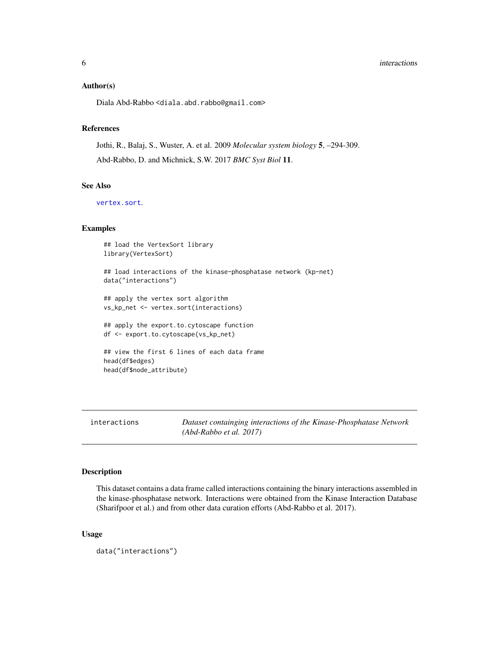#### <span id="page-5-0"></span>**6** interactions **implements implements implements implements implements implements implements implements implements implements implements implements implements implements implements implement**

## Author(s)

Diala Abd-Rabbo <diala.abd.rabbo@gmail.com>

## References

Jothi, R., Balaj, S., Wuster, A. et al. 2009 *Molecular system biology* 5, –294-309. Abd-Rabbo, D. and Michnick, S.W. 2017 *BMC Syst Biol* 11.

## See Also

[vertex.sort](#page-6-1).

## Examples

```
## load the VertexSort library
library(VertexSort)
## load interactions of the kinase-phosphatase network (kp-net)
data("interactions")
## apply the vertex sort algorithm
vs_kp_net <- vertex.sort(interactions)
## apply the export.to.cytoscape function
df <- export.to.cytoscape(vs_kp_net)
## view the first 6 lines of each data frame
head(df$edges)
head(df$node_attribute)
```

|  | interactions |
|--|--------------|
|  |              |

Dataset containging interactions of the Kinase-Phosphatase Network *(Abd-Rabbo et al. 2017)*

## Description

This dataset contains a data frame called interactions containing the binary interactions assembled in the kinase-phosphatase network. Interactions were obtained from the Kinase Interaction Database (Sharifpoor et al.) and from other data curation efforts (Abd-Rabbo et al. 2017).

## Usage

data("interactions")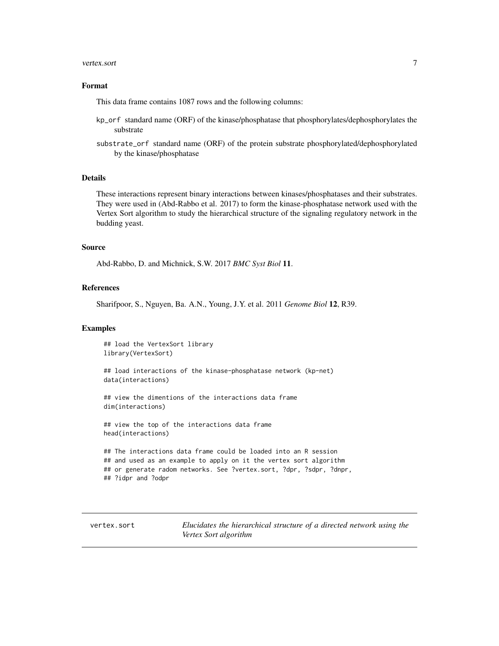#### <span id="page-6-0"></span>vertex.sort 7

## Format

This data frame contains 1087 rows and the following columns:

- kp\_orf standard name (ORF) of the kinase/phosphatase that phosphorylates/dephosphorylates the substrate
- substrate\_orf standard name (ORF) of the protein substrate phosphorylated/dephosphorylated by the kinase/phosphatase

## Details

These interactions represent binary interactions between kinases/phosphatases and their substrates. They were used in (Abd-Rabbo et al. 2017) to form the kinase-phosphatase network used with the Vertex Sort algorithm to study the hierarchical structure of the signaling regulatory network in the budding yeast.

## Source

Abd-Rabbo, D. and Michnick, S.W. 2017 *BMC Syst Biol* 11.

## References

Sharifpoor, S., Nguyen, Ba. A.N., Young, J.Y. et al. 2011 *Genome Biol* 12, R39.

## Examples

## load the VertexSort library library(VertexSort)

## load interactions of the kinase-phosphatase network (kp-net) data(interactions)

## view the dimentions of the interactions data frame dim(interactions)

## view the top of the interactions data frame head(interactions)

## The interactions data frame could be loaded into an R session ## and used as an example to apply on it the vertex sort algorithm ## or generate radom networks. See ?vertex.sort, ?dpr, ?sdpr, ?dnpr, ## ?idpr and ?odpr

<span id="page-6-1"></span>vertex.sort *Elucidates the hierarchical structure of a directed network using the Vertex Sort algorithm*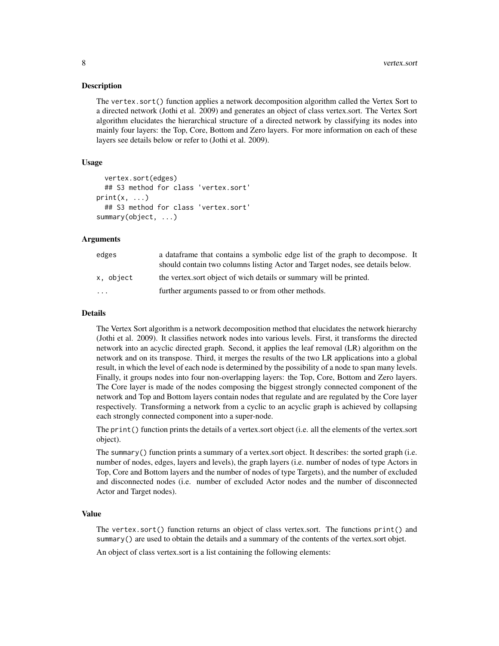## Description

The vertex.sort() function applies a network decomposition algorithm called the Vertex Sort to a directed network (Jothi et al. 2009) and generates an object of class vertex.sort. The Vertex Sort algorithm elucidates the hierarchical structure of a directed network by classifying its nodes into mainly four layers: the Top, Core, Bottom and Zero layers. For more information on each of these layers see details below or refer to (Jothi et al. 2009).

## Usage

```
vertex.sort(edges)
  ## S3 method for class 'vertex.sort'
print(x, \ldots)## S3 method for class 'vertex.sort'
summary(object, ...)
```
## **Arguments**

| edges                   | a data frame that contains a symbolic edge list of the graph to decompose. It<br>should contain two columns listing Actor and Target nodes, see details below. |
|-------------------------|----------------------------------------------------------------------------------------------------------------------------------------------------------------|
| x, object               | the vertex sort object of wich details or summary will be printed.                                                                                             |
| $\cdot$ $\cdot$ $\cdot$ | further arguments passed to or from other methods.                                                                                                             |

## Details

The Vertex Sort algorithm is a network decomposition method that elucidates the network hierarchy (Jothi et al. 2009). It classifies network nodes into various levels. First, it transforms the directed network into an acyclic directed graph. Second, it applies the leaf removal (LR) algorithm on the network and on its transpose. Third, it merges the results of the two LR applications into a global result, in which the level of each node is determined by the possibility of a node to span many levels. Finally, it groups nodes into four non-overlapping layers: the Top, Core, Bottom and Zero layers. The Core layer is made of the nodes composing the biggest strongly connected component of the network and Top and Bottom layers contain nodes that regulate and are regulated by the Core layer respectively. Transforming a network from a cyclic to an acyclic graph is achieved by collapsing each strongly connected component into a super-node.

The print() function prints the details of a vertex.sort object (i.e. all the elements of the vertex.sort object).

The summary() function prints a summary of a vertex.sort object. It describes: the sorted graph (i.e. number of nodes, edges, layers and levels), the graph layers (i.e. number of nodes of type Actors in Top, Core and Bottom layers and the number of nodes of type Targets), and the number of excluded and disconnected nodes (i.e. number of excluded Actor nodes and the number of disconnected Actor and Target nodes).

## Value

The vertex.sort() function returns an object of class vertex.sort. The functions print() and summary() are used to obtain the details and a summary of the contents of the vertex.sort objet.

An object of class vertex.sort is a list containing the following elements: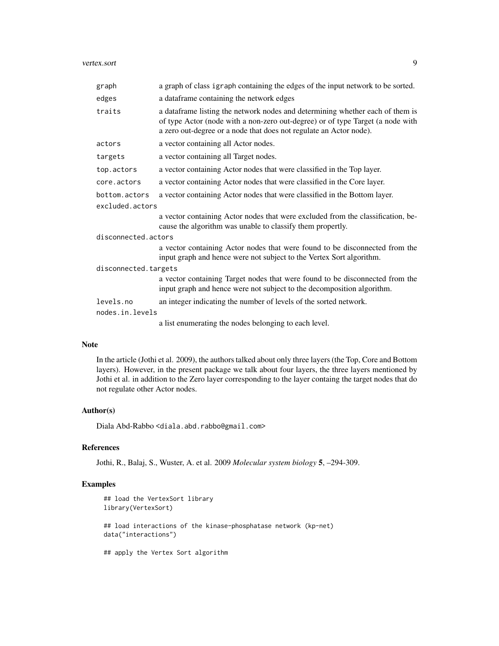#### vertex.sort 9

| graph                                                                                                         | a graph of class igraph containing the edges of the input network to be sorted.                                                                                                                                                       |  |
|---------------------------------------------------------------------------------------------------------------|---------------------------------------------------------------------------------------------------------------------------------------------------------------------------------------------------------------------------------------|--|
| edges                                                                                                         | a dataframe containing the network edges                                                                                                                                                                                              |  |
| traits                                                                                                        | a dataframe listing the network nodes and determining whether each of them is<br>of type Actor (node with a non-zero out-degree) or of type Target (a node with<br>a zero out-degree or a node that does not regulate an Actor node). |  |
| actors                                                                                                        | a vector containing all Actor nodes.                                                                                                                                                                                                  |  |
| targets                                                                                                       | a vector containing all Target nodes.                                                                                                                                                                                                 |  |
| top.actors                                                                                                    | a vector containing Actor nodes that were classified in the Top layer.                                                                                                                                                                |  |
| core.actors                                                                                                   | a vector containing Actor nodes that were classified in the Core layer.                                                                                                                                                               |  |
| a vector containing Actor nodes that were classified in the Bottom layer.<br>bottom.actors<br>excluded.actors |                                                                                                                                                                                                                                       |  |
|                                                                                                               | a vector containing Actor nodes that were excluded from the classification, be-<br>cause the algorithm was unable to classify them propertly.                                                                                         |  |
| disconnected.actors                                                                                           |                                                                                                                                                                                                                                       |  |
|                                                                                                               | a vector containing Actor nodes that were found to be disconnected from the<br>input graph and hence were not subject to the Vertex Sort algorithm.                                                                                   |  |
| disconnected.targets                                                                                          |                                                                                                                                                                                                                                       |  |
|                                                                                                               | a vector containing Target nodes that were found to be disconnected from the<br>input graph and hence were not subject to the decomposition algorithm.                                                                                |  |
| levels.no                                                                                                     | an integer indicating the number of levels of the sorted network.                                                                                                                                                                     |  |
| nodes.in.levels                                                                                               |                                                                                                                                                                                                                                       |  |
|                                                                                                               | a list enumerating the nodes belonging to each level.                                                                                                                                                                                 |  |

## Note

In the article (Jothi et al. 2009), the authors talked about only three layers (the Top, Core and Bottom layers). However, in the present package we talk about four layers, the three layers mentioned by Jothi et al. in addition to the Zero layer corresponding to the layer containg the target nodes that do not regulate other Actor nodes.

## Author(s)

Diala Abd-Rabbo <diala.abd.rabbo@gmail.com>

## References

Jothi, R., Balaj, S., Wuster, A. et al. 2009 *Molecular system biology* 5, –294-309.

## Examples

```
## load the VertexSort library
library(VertexSort)
## load interactions of the kinase-phosphatase network (kp-net)
data("interactions")
## apply the Vertex Sort algorithm
```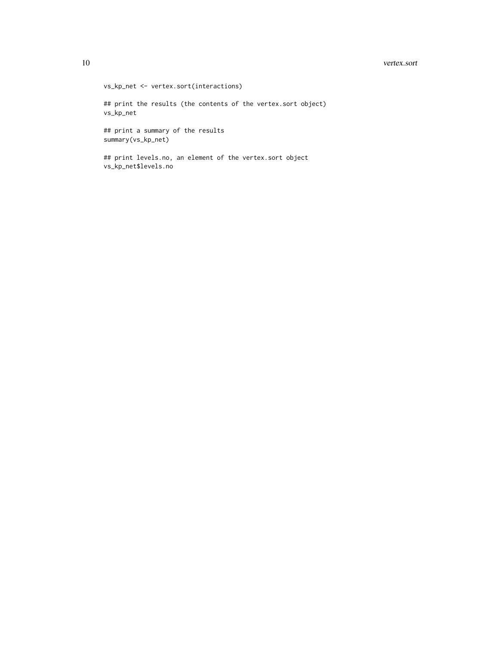#### 10 vertex.sort

vs\_kp\_net <- vertex.sort(interactions) ## print the results (the contents of the vertex.sort object) vs\_kp\_net ## print a summary of the results summary(vs\_kp\_net)

## print levels.no, an element of the vertex.sort object vs\_kp\_net\$levels.no